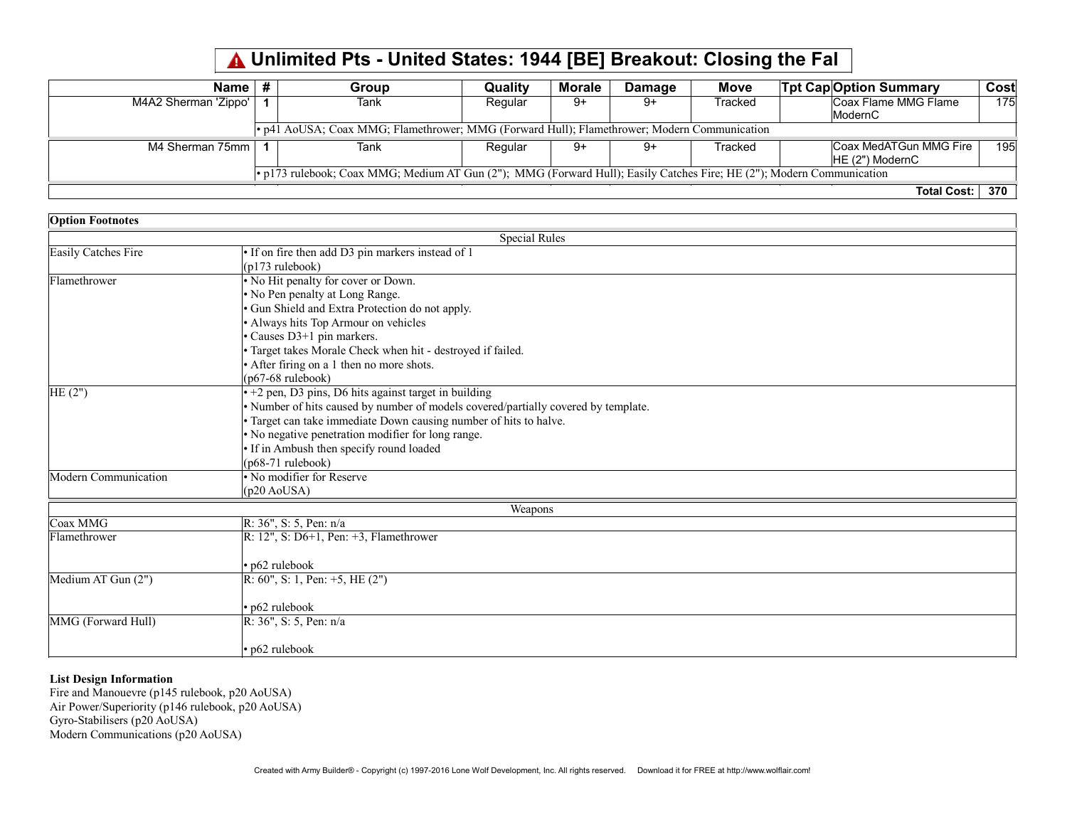## Unlimited Pts - United States: 1944 [BE] Breakout: Closing the Fal

| Name                                                                                                                  |  | Group | <b>Quality</b> | Morale | <b>Damage</b> | <b>Move</b> |  | <b>Tpt Cap</b> Option Summary | Cost |
|-----------------------------------------------------------------------------------------------------------------------|--|-------|----------------|--------|---------------|-------------|--|-------------------------------|------|
| M4A2 Sherman 'Zippo'                                                                                                  |  | Tank  | Regular        | 9+     | -9            | Tracked     |  | Coax Flame MMG Flame          | 175  |
|                                                                                                                       |  |       |                |        |               |             |  | ModernC                       |      |
| • p41 AoUSA; Coax MMG; Flamethrower; MMG (Forward Hull); Flamethrower; Modern Communication                           |  |       |                |        |               |             |  |                               |      |
| M4 Sherman 75mm                                                                                                       |  | Tank  | Regular        | 9+     | -9            | Tracked     |  | Coax MedATGun MMG Fire        | 195  |
|                                                                                                                       |  |       |                |        |               |             |  | $HE(2")$ ModernC              |      |
| • p173 rulebook; Coax MMG; Medium AT Gun (2"); MMG (Forward Hull); Easily Catches Fire; HE (2"); Modern Communication |  |       |                |        |               |             |  |                               |      |
|                                                                                                                       |  |       |                |        |               |             |  | <b>Total Cost:</b>            | 370  |

| <b>Option Footnotes</b> |                                                                                    |  |  |  |  |  |  |
|-------------------------|------------------------------------------------------------------------------------|--|--|--|--|--|--|
| <b>Special Rules</b>    |                                                                                    |  |  |  |  |  |  |
| Easily Catches Fire     | · If on fire then add D3 pin markers instead of 1                                  |  |  |  |  |  |  |
|                         | (p173 rulebook)                                                                    |  |  |  |  |  |  |
| Flamethrower            | • No Hit penalty for cover or Down.                                                |  |  |  |  |  |  |
|                         | . No Pen penalty at Long Range.                                                    |  |  |  |  |  |  |
|                         | · Gun Shield and Extra Protection do not apply.                                    |  |  |  |  |  |  |
|                         | • Always hits Top Armour on vehicles                                               |  |  |  |  |  |  |
|                         | • Causes D3+1 pin markers.                                                         |  |  |  |  |  |  |
|                         | · Target takes Morale Check when hit - destroyed if failed.                        |  |  |  |  |  |  |
|                         | • After firing on a 1 then no more shots.                                          |  |  |  |  |  |  |
|                         | $(p67-68$ rulebook)                                                                |  |  |  |  |  |  |
| HE(2")                  | $+2$ pen, D3 pins, D6 hits against target in building                              |  |  |  |  |  |  |
|                         | · Number of hits caused by number of models covered/partially covered by template. |  |  |  |  |  |  |
|                         | • Target can take immediate Down causing number of hits to halve.                  |  |  |  |  |  |  |
|                         | • No negative penetration modifier for long range.                                 |  |  |  |  |  |  |
|                         | • If in Ambush then specify round loaded                                           |  |  |  |  |  |  |
|                         | $(p68-71$ rulebook)                                                                |  |  |  |  |  |  |
| Modern Communication    | • No modifier for Reserve                                                          |  |  |  |  |  |  |
|                         | (p20 AoUSA)                                                                        |  |  |  |  |  |  |
|                         | Weapons                                                                            |  |  |  |  |  |  |
| Coax MMG                | R: 36", S: 5, Pen: n/a                                                             |  |  |  |  |  |  |
| Flamethrower            | R: 12", S: D6+1, Pen: +3, Flamethrower                                             |  |  |  |  |  |  |
|                         |                                                                                    |  |  |  |  |  |  |
|                         | • p62 rulebook                                                                     |  |  |  |  |  |  |
| Medium AT Gun (2")      | R: 60", S: 1, Pen: $+5$ , HE $(2")$                                                |  |  |  |  |  |  |
|                         |                                                                                    |  |  |  |  |  |  |
|                         | • p62 rulebook                                                                     |  |  |  |  |  |  |
| MMG (Forward Hull)      | R: 36", S: 5, Pen: n/a                                                             |  |  |  |  |  |  |
|                         |                                                                                    |  |  |  |  |  |  |
|                         | • p62 rulebook                                                                     |  |  |  |  |  |  |

## List Design Information

Fire and Manouevre (p145 rulebook, p20 AoUSA) Air Power/Superiority (p146 rulebook, p20 AoUSA) Gyro-Stabilisers (p20 AoUSA) Modern Communications (p20 AoUSA)